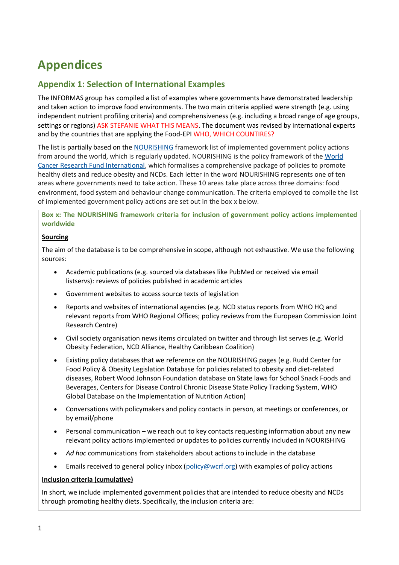# **Appendices**

## **Appendix 1: Selection of International Examples**

The INFORMAS group has compiled a list of examples where governments have demonstrated leadership and taken action to improve food environments. The two main criteria applied were strength (e.g. using independent nutrient profiling criteria) and comprehensiveness (e.g. including a broad range of age groups, settings or regions) ASK STEFANIE WHAT THIS MEANS. The document was revised by international experts and by the countries that are applying the Food-EPI WHO, WHICH COUNTIRES?

The list is partially based on the [NOURISHING](http://www.wcrf.org/NOURISHING) framework list of implemented government policy actions from around the world, which is regularly updated. NOURISHING is the policy framework of the [World](http://www.wcrf.org/)  [Cancer Research Fund International,](http://www.wcrf.org/) which formalises a comprehensive package of policies to promote healthy diets and reduce obesity and NCDs. Each letter in the word NOURISHING represents one of ten areas where governments need to take action. These 10 areas take place across three domains: food environment, food system and behaviour change communication. The criteria employed to compile the list of implemented government policy actions are set out in the box x below.

**Box x: The NOURISHING framework criteria for inclusion of government policy actions implemented worldwide**

#### **Sourcing**

The aim of the database is to be comprehensive in scope, although not exhaustive. We use the following sources:

- Academic publications (e.g. sourced via databases like PubMed or received via email listservs): reviews of policies published in academic articles
- Government websites to access source texts of legislation
- Reports and websites of international agencies (e.g. NCD status reports from WHO HQ and relevant reports from WHO Regional Offices; policy reviews from the European Commission Joint Research Centre)
- Civil society organisation news items circulated on twitter and through list serves (e.g. World Obesity Federation, NCD Alliance, Healthy Caribbean Coalition)
- Existing policy databases that we reference on the NOURISHING pages (e.g. Rudd Center for Food Policy & Obesity Legislation Database for policies related to obesity and diet-related diseases, Robert Wood Johnson Foundation database on State laws for School Snack Foods and Beverages, Centers for Disease Control Chronic Disease State Policy Tracking System, WHO Global Database on the Implementation of Nutrition Action)
- Conversations with policymakers and policy contacts in person, at meetings or conferences, or by email/phone
- Personal communication we reach out to key contacts requesting information about any new relevant policy actions implemented or updates to policies currently included in NOURISHING
- *Ad hoc* communications from stakeholders about actions to include in the database
- Emails received to general policy inbox [\(policy@wcrf.org\)](mailto:policy@wcrf.org) with examples of policy actions

#### **Inclusion criteria (cumulative)**

In short, we include implemented government policies that are intended to reduce obesity and NCDs through promoting healthy diets. Specifically, the inclusion criteria are: